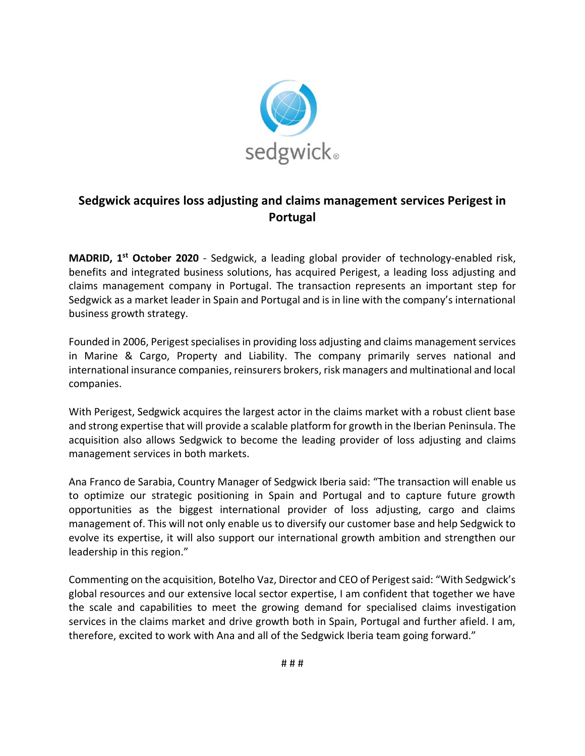

## **Sedgwick acquires loss adjusting and claims management services Perigest in Portugal**

**MADRID, 1 st October 2020** - Sedgwick, a leading global provider of technology-enabled risk, benefits and integrated business solutions, has acquired Perigest, a leading loss adjusting and claims management company in Portugal. The transaction represents an important step for Sedgwick as a market leader in Spain and Portugal and is in line with the company's international business growth strategy.

Founded in 2006, Perigest specialises in providing loss adjusting and claims management services in Marine & Cargo, Property and Liability. The company primarily serves national and international insurance companies, reinsurers brokers, risk managers and multinational and local companies.

With Perigest, Sedgwick acquires the largest actor in the claims market with a robust client base and strong expertise that will provide a scalable platform for growth in the Iberian Peninsula. The acquisition also allows Sedgwick to become the leading provider of loss adjusting and claims management services in both markets.

Ana Franco de Sarabia, Country Manager of Sedgwick Iberia said: "The transaction will enable us to optimize our strategic positioning in Spain and Portugal and to capture future growth opportunities as the biggest international provider of loss adjusting, cargo and claims management of. This will not only enable us to diversify our customer base and help Sedgwick to evolve its expertise, it will also support our international growth ambition and strengthen our leadership in this region."

Commenting on the acquisition, Botelho Vaz, Director and CEO of Perigest said: "With Sedgwick's global resources and our extensive local sector expertise, I am confident that together we have the scale and capabilities to meet the growing demand for specialised claims investigation services in the claims market and drive growth both in Spain, Portugal and further afield. I am, therefore, excited to work with Ana and all of the Sedgwick Iberia team going forward."